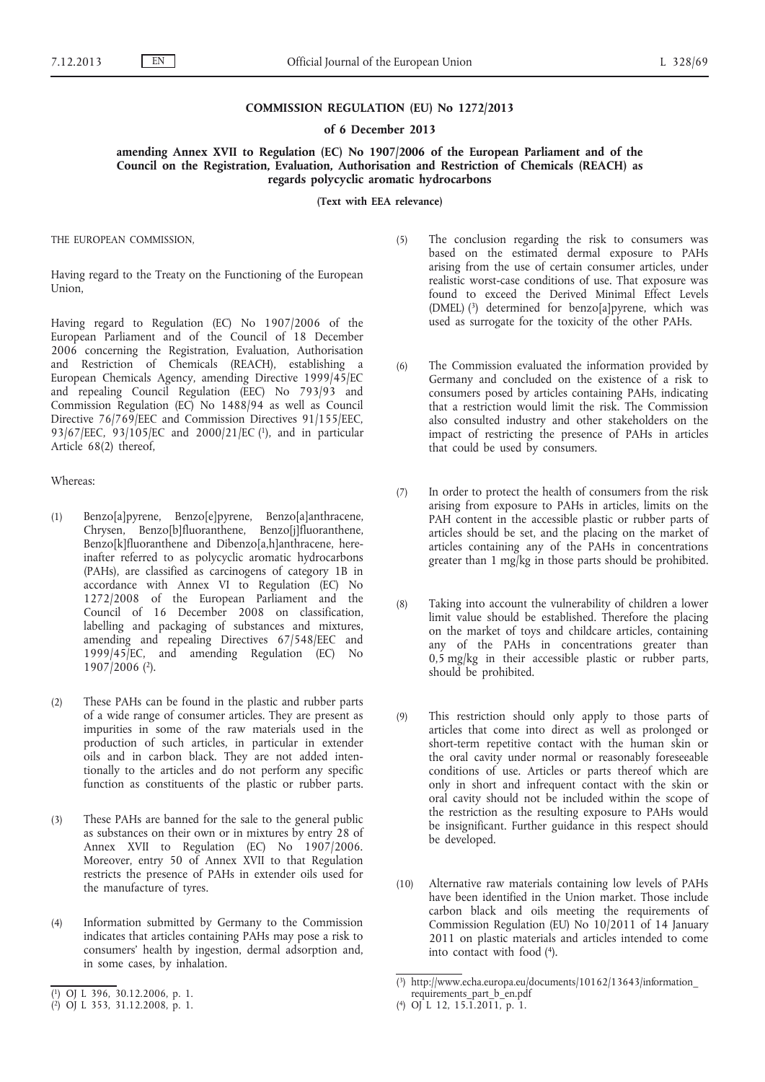### **COMMISSION REGULATION (EU) No 1272/2013**

## **of 6 December 2013**

**amending Annex XVII to Regulation (EC) No 1907/2006 of the European Parliament and of the Council on the Registration, Evaluation, Authorisation and Restriction of Chemicals (REACH) as regards polycyclic aromatic hydrocarbons**

**(Text with EEA relevance)**

THE EUROPEAN COMMISSION,

Having regard to the Treaty on the Functioning of the European Union,

Having regard to Regulation (EC) No 1907/2006 of the European Parliament and of the Council of 18 December 2006 concerning the Registration, Evaluation, Authorisation and Restriction of Chemicals (REACH), establishing a European Chemicals Agency, amending Directive 1999/45/EC and repealing Council Regulation (EEC) No 793/93 and Commission Regulation (EC) No 1488/94 as well as Council Directive 76/769/EEC and Commission Directives 91/155/EEC, 93/67/EEC, 93/105/EC and 2000/21/EC (1), and in particular Article 68(2) thereof,

#### Whereas:

- (1) Benzo[a]pyrene, Benzo[e]pyrene, Benzo[a]anthracene, Chrysen, Benzo[b]fluoranthene, Benzo[j]fluoranthene, Benzo[k]fluoranthene and Dibenzo[a,h]anthracene, hereinafter referred to as polycyclic aromatic hydrocarbons (PAHs), are classified as carcinogens of category 1B in accordance with Annex VI to Regulation (EC) No 1272/2008 of the European Parliament and the Council of 16 December 2008 on classification, labelling and packaging of substances and mixtures, amending and repealing Directives 67/548/EEC and 1999/45/EC, and amending Regulation (EC) No 1907/2006 (2).
- (2) These PAHs can be found in the plastic and rubber parts of a wide range of consumer articles. They are present as impurities in some of the raw materials used in the production of such articles, in particular in extender oils and in carbon black. They are not added intentionally to the articles and do not perform any specific function as constituents of the plastic or rubber parts.
- (3) These PAHs are banned for the sale to the general public as substances on their own or in mixtures by entry 28 of Annex XVII to Regulation (EC) No 1907/2006. Moreover, entry 50 of Annex XVII to that Regulation restricts the presence of PAHs in extender oils used for the manufacture of tyres.
- (4) Information submitted by Germany to the Commission indicates that articles containing PAHs may pose a risk to consumers' health by ingestion, dermal adsorption and, in some cases, by inhalation.
- (5) The conclusion regarding the risk to consumers was based on the estimated dermal exposure to PAHs arising from the use of certain consumer articles, under realistic worst-case conditions of use. That exposure was found to exceed the Derived Minimal Effect Levels (DMEL)  $(3)$  determined for benzo[a]pyrene, which was used as surrogate for the toxicity of the other PAHs.
- (6) The Commission evaluated the information provided by Germany and concluded on the existence of a risk to consumers posed by articles containing PAHs, indicating that a restriction would limit the risk. The Commission also consulted industry and other stakeholders on the impact of restricting the presence of PAHs in articles that could be used by consumers.
- (7) In order to protect the health of consumers from the risk arising from exposure to PAHs in articles, limits on the PAH content in the accessible plastic or rubber parts of articles should be set, and the placing on the market of articles containing any of the PAHs in concentrations greater than 1 mg/kg in those parts should be prohibited.
- (8) Taking into account the vulnerability of children a lower limit value should be established. Therefore the placing on the market of toys and childcare articles, containing any of the PAHs in concentrations greater than 0,5 mg/kg in their accessible plastic or rubber parts, should be prohibited.
- (9) This restriction should only apply to those parts of articles that come into direct as well as prolonged or short-term repetitive contact with the human skin or the oral cavity under normal or reasonably foreseeable conditions of use. Articles or parts thereof which are only in short and infrequent contact with the skin or oral cavity should not be included within the scope of the restriction as the resulting exposure to PAHs would be insignificant. Further guidance in this respect should be developed.
- (10) Alternative raw materials containing low levels of PAHs have been identified in the Union market. Those include carbon black and oils meeting the requirements of Commission Regulation (EU) No 10/2011 of 14 January 2011 on plastic materials and articles intended to come into contact with food (4).

<sup>(</sup> 1) OJ L 396, 30.12.2006, p. 1.

<sup>(</sup> 2) OJ L 353, 31.12.2008, p. 1.

<sup>(</sup> 3) [http://www.echa.europa.eu/documents/10162/13643/information\\_](http://www.echa.europa.eu/documents/10162/13643/information_requirements_part_b_en.pdf) 

[requirements\\_part\\_b\\_en.pdf](http://www.echa.europa.eu/documents/10162/13643/information_requirements_part_b_en.pdf) ( 4) OJ L 12, 15.1.2011, p. 1.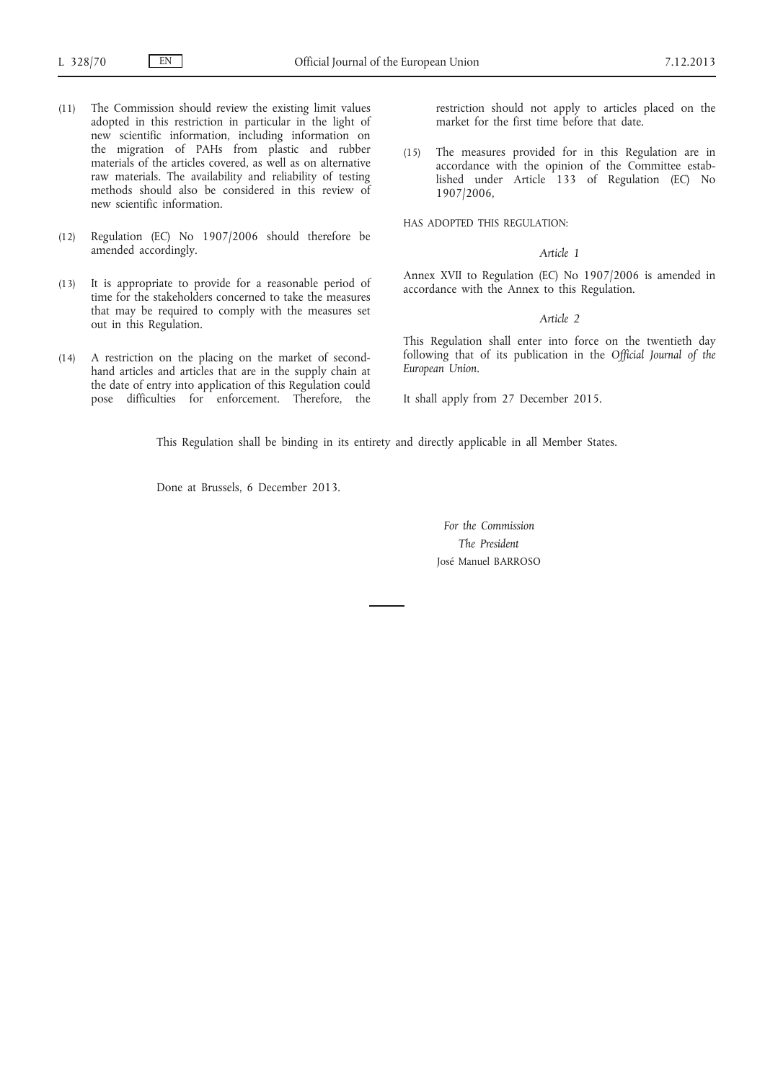- (11) The Commission should review the existing limit values adopted in this restriction in particular in the light of new scientific information, including information on the migration of PAHs from plastic and rubber materials of the articles covered, as well as on alternative raw materials. The availability and reliability of testing methods should also be considered in this review of new scientific information.
- (12) Regulation (EC) No 1907/2006 should therefore be amended accordingly.
- (13) It is appropriate to provide for a reasonable period of time for the stakeholders concerned to take the measures that may be required to comply with the measures set out in this Regulation.
- (14) A restriction on the placing on the market of secondhand articles and articles that are in the supply chain at the date of entry into application of this Regulation could pose difficulties for enforcement. Therefore, the

restriction should not apply to articles placed on the market for the first time before that date.

(15) The measures provided for in this Regulation are in accordance with the opinion of the Committee established under Article 133 of Regulation (EC) No 1907/2006,

HAS ADOPTED THIS REGULATION:

#### *Article 1*

Annex XVII to Regulation (EC) No 1907/2006 is amended in accordance with the Annex to this Regulation.

#### *Article 2*

This Regulation shall enter into force on the twentieth day following that of its publication in the *Official Journal of the European Union*.

It shall apply from 27 December 2015.

This Regulation shall be binding in its entirety and directly applicable in all Member States.

Done at Brussels, 6 December 2013.

*For the Commission The President* José Manuel BARROSO